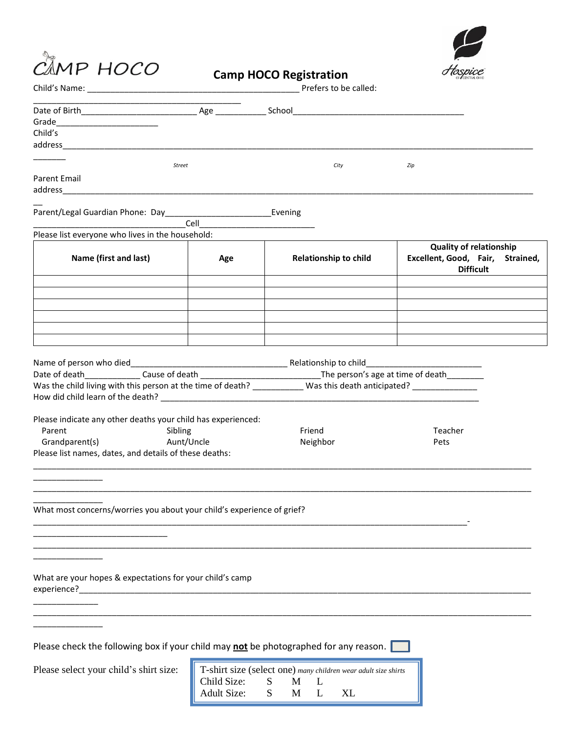



|  |  | <b>Camp HOCO Registration</b> |
|--|--|-------------------------------|
|--|--|-------------------------------|

|                                                                                                                              |                    | Prefers to be called:                                          |                                  |  |
|------------------------------------------------------------------------------------------------------------------------------|--------------------|----------------------------------------------------------------|----------------------------------|--|
|                                                                                                                              |                    |                                                                |                                  |  |
| Grade__________________________                                                                                              |                    |                                                                |                                  |  |
| Child's                                                                                                                      |                    |                                                                |                                  |  |
|                                                                                                                              |                    |                                                                |                                  |  |
|                                                                                                                              |                    |                                                                |                                  |  |
|                                                                                                                              | Street             | City                                                           | Zip                              |  |
| Parent Email                                                                                                                 |                    |                                                                |                                  |  |
|                                                                                                                              |                    |                                                                |                                  |  |
|                                                                                                                              |                    |                                                                |                                  |  |
|                                                                                                                              | Cell               |                                                                |                                  |  |
| Please list everyone who lives in the household:                                                                             |                    |                                                                |                                  |  |
|                                                                                                                              |                    |                                                                | <b>Quality of relationship</b>   |  |
| Name (first and last)                                                                                                        | Age                | <b>Relationship to child</b>                                   | Excellent, Good, Fair, Strained, |  |
|                                                                                                                              |                    |                                                                | <b>Difficult</b>                 |  |
|                                                                                                                              |                    |                                                                |                                  |  |
|                                                                                                                              |                    |                                                                |                                  |  |
|                                                                                                                              |                    |                                                                |                                  |  |
|                                                                                                                              |                    |                                                                |                                  |  |
|                                                                                                                              |                    |                                                                |                                  |  |
|                                                                                                                              |                    |                                                                |                                  |  |
|                                                                                                                              |                    |                                                                |                                  |  |
|                                                                                                                              |                    |                                                                |                                  |  |
| Date of death__________________Cause of death __________________________________The person's age at time of death___________ |                    |                                                                |                                  |  |
| Was the child living with this person at the time of death? Was this death anticipated?                                      |                    |                                                                |                                  |  |
|                                                                                                                              |                    |                                                                |                                  |  |
|                                                                                                                              |                    |                                                                |                                  |  |
| Please indicate any other deaths your child has experienced:                                                                 |                    |                                                                |                                  |  |
| Parent<br>Sibling                                                                                                            |                    | Friend                                                         | Teacher                          |  |
| Aunt/Uncle<br>Grandparent(s)                                                                                                 |                    | Neighbor                                                       | Pets                             |  |
| Please list names, dates, and details of these deaths:                                                                       |                    |                                                                |                                  |  |
|                                                                                                                              |                    |                                                                |                                  |  |
|                                                                                                                              |                    |                                                                |                                  |  |
|                                                                                                                              |                    |                                                                |                                  |  |
| What most concerns/worries you about your child's experience of grief?                                                       |                    |                                                                |                                  |  |
|                                                                                                                              |                    |                                                                |                                  |  |
|                                                                                                                              |                    |                                                                |                                  |  |
|                                                                                                                              |                    |                                                                |                                  |  |
|                                                                                                                              |                    |                                                                |                                  |  |
|                                                                                                                              |                    |                                                                |                                  |  |
| What are your hopes & expectations for your child's camp                                                                     |                    |                                                                |                                  |  |
|                                                                                                                              |                    |                                                                |                                  |  |
|                                                                                                                              |                    |                                                                |                                  |  |
|                                                                                                                              |                    |                                                                |                                  |  |
|                                                                                                                              |                    |                                                                |                                  |  |
|                                                                                                                              |                    |                                                                |                                  |  |
| Please check the following box if your child may not be photographed for any reason.                                         |                    |                                                                |                                  |  |
|                                                                                                                              |                    |                                                                |                                  |  |
| Please select your child's shirt size:                                                                                       |                    | T-shirt size (select one) many children wear adult size shirts |                                  |  |
|                                                                                                                              | Child Size:        | S<br>M<br>L                                                    |                                  |  |
|                                                                                                                              | <b>Adult Size:</b> | S<br>M<br>XL<br>L                                              |                                  |  |
|                                                                                                                              |                    |                                                                |                                  |  |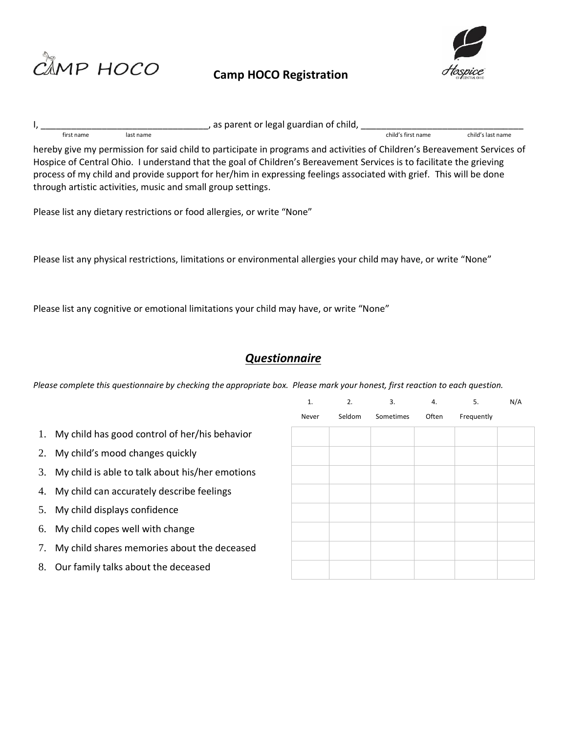

## **Camp HOCO Registration**



 $\frac{1}{2}$ ,  $\frac{1}{2}$  first name last name last name and set of  $\frac{1}{2}$  as parent or legal guardian of child,  $\frac{1}{2}$  child's first name first name last name child's first name child's last name

hereby give my permission for said child to participate in programs and activities of Children's Bereavement Services of Hospice of Central Ohio. I understand that the goal of Children's Bereavement Services is to facilitate the grieving process of my child and provide support for her/him in expressing feelings associated with grief. This will be done through artistic activities, music and small group settings.

Please list any dietary restrictions or food allergies, or write "None"

Please list any physical restrictions, limitations or environmental allergies your child may have, or write "None"

Please list any cognitive or emotional limitations your child may have, or write "None"

## *Questionnaire*

*Please complete this questionnaire by checking the appropriate box. Please mark your honest, first reaction to each question.* 

|    |                                                    | $\mathbf{1}$ | 2.     | 3.        | $\overline{4}$ . | 5.         | N/A |
|----|----------------------------------------------------|--------------|--------|-----------|------------------|------------|-----|
|    |                                                    | Never        | Seldom | Sometimes | Often            | Frequently |     |
|    | 1. My child has good control of her/his behavior   |              |        |           |                  |            |     |
|    | 2. My child's mood changes quickly                 |              |        |           |                  |            |     |
|    | 3. My child is able to talk about his/her emotions |              |        |           |                  |            |     |
|    | 4. My child can accurately describe feelings       |              |        |           |                  |            |     |
|    | 5. My child displays confidence                    |              |        |           |                  |            |     |
|    | 6. My child copes well with change                 |              |        |           |                  |            |     |
|    | 7. My child shares memories about the deceased     |              |        |           |                  |            |     |
| 8. | Our family talks about the deceased                |              |        |           |                  |            |     |